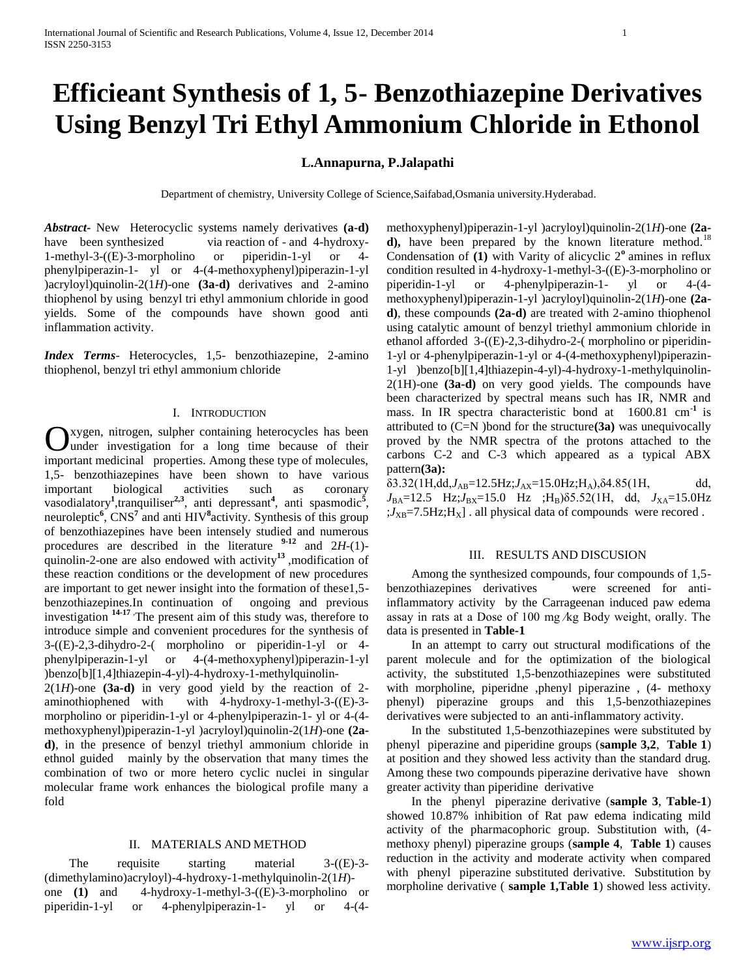# **Efficieant Synthesis of 1, 5- Benzothiazepine Derivatives Using Benzyl Tri Ethyl Ammonium Chloride in Ethonol**

## **L.Annapurna, P.Jalapathi**

Department of chemistry, University College of Science,Saifabad,Osmania university.Hyderabad.

*Abstract***-** New Heterocyclic systems namely derivatives **(a-d)** have been synthesized via reaction of - and 4-hydroxy-1-methyl-3-((E)-3-morpholino or piperidin-1-yl or 4 phenylpiperazin-1- yl or 4-(4-methoxyphenyl)piperazin-1-yl )acryloyl)quinolin-2(1*H*)-one **(3a-d)** derivatives and 2-amino thiophenol by using benzyl tri ethyl ammonium chloride in good yields. Some of the compounds have shown good anti inflammation activity.

*Index Terms*- Heterocycles, 1,5- benzothiazepine, 2-amino thiophenol, benzyl tri ethyl ammonium chloride

## I. INTRODUCTION

xygen, nitrogen, sulpher containing heterocycles has been Oxygen, nitrogen, sulpher containing heterocycles has been under investigation for a long time because of their important medicinal properties. Among these type of molecules, 1,5- benzothiazepines have been shown to have various important biological activities such as coronary vasodialatory<sup>1</sup>,tranquiliser<sup>2,3</sup>, anti depressant<sup>4</sup>, anti spasmodic<sup>5</sup>, neuroleptic<sup>6</sup>, CNS<sup>7</sup> and anti HIV<sup>8</sup> activity. Synthesis of this group of benzothiazepines have been intensely studied and numerous procedures are described in the literature **9-12** and 2*H*-(1) quinolin-2-one are also endowed with activity**<sup>13</sup>** ,modification of these reaction conditions or the development of new procedures are important to get newer insight into the formation of these1,5 benzothiazepines.In continuation of ongoing and previous investigation **14-17** ,The present aim of this study was, therefore to introduce simple and convenient procedures for the synthesis of 3-((E)-2,3-dihydro-2-( morpholino or piperidin-1-yl or 4 phenylpiperazin-1-yl or 4-(4-methoxyphenyl)piperazin-1-yl )benzo[b][1,4]thiazepin-4-yl)-4-hydroxy-1-methylquinolin- $2(1H)$ -one **(3a-d)** in very good yield by the reaction of 2-

aminothiophened with with 4-hydroxy-1-methyl-3-((E)-3 morpholino or piperidin-1-yl or 4-phenylpiperazin-1- yl or 4-(4 methoxyphenyl)piperazin-1-yl )acryloyl)quinolin-2(1*H*)-one **(2ad)**, in the presence of benzyl triethyl ammonium chloride in ethnol guided mainly by the observation that many times the combination of two or more hetero cyclic nuclei in singular molecular frame work enhances the biological profile many a fold

#### II. MATERIALS AND METHOD

The requisite starting material 3-((E)-3-(dimethylamino)acryloyl)-4-hydroxy-1-methylquinolin-2(1*H*) one **(1)** and 4-hydroxy-1-methyl-3-((E)-3-morpholino or piperidin-1-yl or 4-phenylpiperazin-1- yl or 4-(4methoxyphenyl)piperazin-1-yl )acryloyl)quinolin-2(1*H*)-one **(2ad**), have been prepared by the known literature method.<sup>18</sup> Condensation of (1) with Varity of alicyclic 2<sup>°</sup> amines in reflux condition resulted in 4-hydroxy-1-methyl-3-((E)-3-morpholino or piperidin-1-yl or 4-phenylpiperazin-1- yl or 4-(4 methoxyphenyl)piperazin-1-yl )acryloyl)quinolin-2(1*H*)-one **(2ad)**, these compounds **(2a-d)** are treated with 2-amino thiophenol using catalytic amount of benzyl triethyl ammonium chloride in ethanol afforded 3-((E)-2,3-dihydro-2-( morpholino or piperidin-1-yl or 4-phenylpiperazin-1-yl or 4-(4-methoxyphenyl)piperazin-1-yl )benzo[b][1,4]thiazepin-4-yl)-4-hydroxy-1-methylquinolin-2(1H)-one **(3a-d)** on very good yields. The compounds have been characterized by spectral means such has IR, NMR and mass. In IR spectra characteristic bond at 1600.81 cm**-1** is attributed to (C=N )bond for the structure**(3a)** was unequivocally proved by the NMR spectra of the protons attached to the carbons C-2 and C-3 which appeared as a typical ABX pattern**(3a):**

 $\delta$ 3.32(1H,dd, $J_{AB}$ =12.5Hz; $J_{AX}$ =15.0Hz;H<sub>A</sub>), $\delta$ 4.85(1H, dd,  $J_{BA}$ =12.5 Hz; $J_{BX}$ =15.0 Hz ;H<sub>B</sub>) $\delta$ 5.52(1H, dd,  $J_{XA}$ =15.0Hz  $; J_{XB}$ =7.5Hz;H<sub>X</sub>] . all physical data of compounds were recored .

#### III. RESULTS AND DISCUSION

 Among the synthesized compounds, four compounds of 1,5 benzothiazepines derivatives were screened for antiinflammatory activity by the Carrageenan induced paw edema assay in rats at a Dose of 100 mg ∕kg Body weight, orally. The data is presented in **Table-1** 

 In an attempt to carry out structural modifications of the parent molecule and for the optimization of the biological activity, the substituted 1,5-benzothiazepines were substituted with morpholine, piperidne ,phenyl piperazine ,  $(4-$  methoxy phenyl) piperazine groups and this 1,5-benzothiazepines derivatives were subjected to an anti-inflammatory activity.

 In the substituted 1,5-benzothiazepines were substituted by phenyl piperazine and piperidine groups (**sample 3,2**, **Table 1**) at position and they showed less activity than the standard drug. Among these two compounds piperazine derivative have shown greater activity than piperidine derivative

 In the phenyl piperazine derivative (**sample 3**, **Table-1**) showed 10.87% inhibition of Rat paw edema indicating mild activity of the pharmacophoric group. Substitution with, (4 methoxy phenyl) piperazine groups (**sample 4**, **Table 1**) causes reduction in the activity and moderate activity when compared with phenyl piperazine substituted derivative. Substitution by morpholine derivative ( **sample 1,Table 1**) showed less activity.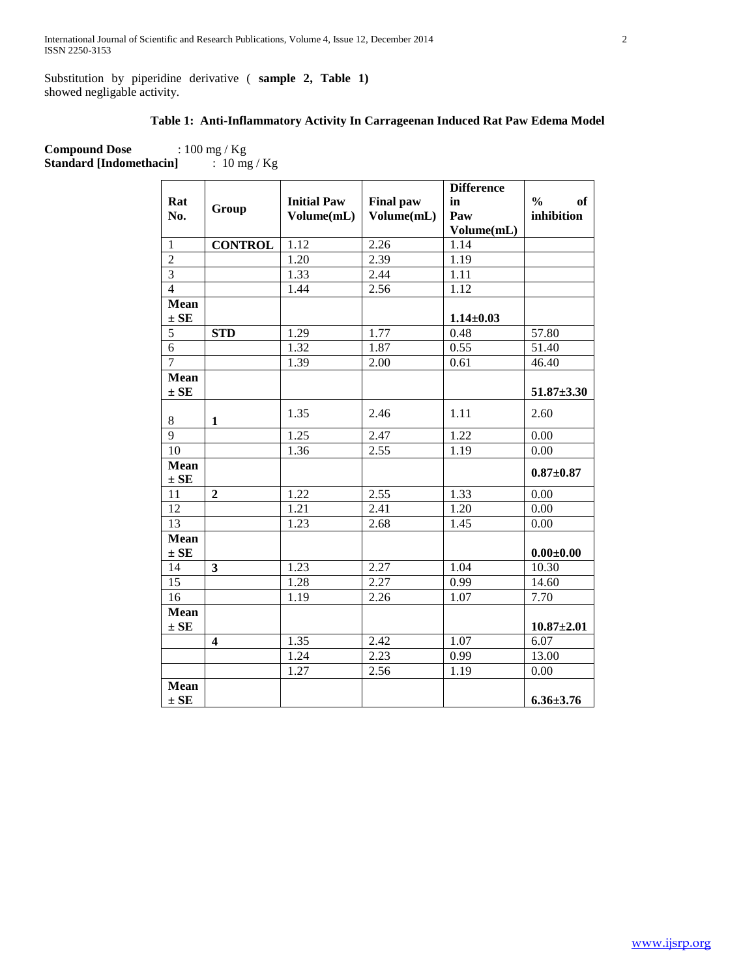Substitution by piperidine derivative ( **sample 2, Table 1)**  showed negligable activity.

# **Table 1: Anti-Inflammatory Activity In Carrageenan Induced Rat Paw Edema Model**

**Compound Dose** : 100 mg / Kg<br>**Standard [Indomethacin]** : 10 mg / Kg **Standard [Indomethacin]** 

|                |                         |                    |                  | <b>Difference</b> |                            |
|----------------|-------------------------|--------------------|------------------|-------------------|----------------------------|
| Rat            |                         | <b>Initial Paw</b> | <b>Final paw</b> | in                | $\frac{0}{0}$<br><b>of</b> |
| No.            | Group                   | Volume(mL)         | Volume(mL)       | Paw               | inhibition                 |
|                |                         |                    |                  | Volume(mL)        |                            |
| $\mathbf{1}$   | <b>CONTROL</b>          | 1.12               | 2.26             | 1.14              |                            |
| $\overline{2}$ |                         | $\overline{1.20}$  | 2.39             | 1.19              |                            |
| $\overline{3}$ |                         | 1.33               | 2.44             | 1.11              |                            |
| $\overline{4}$ |                         | 1.44               | 2.56             | 1.12              |                            |
| Mean           |                         |                    |                  |                   |                            |
| $\pm$ SE       |                         |                    |                  | $1.14 \pm 0.03$   |                            |
| $\overline{5}$ | <b>STD</b>              | 1.29               | 1.77             | 0.48              | 57.80                      |
| $\overline{6}$ |                         | 1.32               | 1.87             | 0.55              | 51.40                      |
| $\overline{7}$ |                         | 1.39               | 2.00             | 0.61              | 46.40                      |
| Mean           |                         |                    |                  |                   |                            |
| $\pm$ SE       |                         |                    |                  |                   | $51.87{\pm}3.30$           |
|                |                         | 1.35               | 2.46             | 1.11              | 2.60                       |
| 8              | $\mathbf{1}$            |                    |                  |                   |                            |
| $\overline{9}$ |                         | 1.25               | 2.47             | 1.22              | 0.00                       |
| 10             |                         | 1.36               | 2.55             | 1.19              | 0.00                       |
| Mean           |                         |                    |                  |                   | $0.87 + 0.87$              |
| $\pm$ SE       |                         |                    |                  |                   |                            |
| 11             | $\overline{2}$          | 1.22               | 2.55             | 1.33              | 0.00                       |
| 12             |                         | 1.21               | 2.41             | 1.20              | 0.00                       |
| 13             |                         | 1.23               | 2.68             | 1.45              | 0.00                       |
| Mean           |                         |                    |                  |                   |                            |
| $\pm$ SE       |                         |                    |                  |                   | $0.00 + 0.00$              |
| 14             | $\overline{\mathbf{3}}$ | 1.23               | 2.27             | 1.04              | 10.30                      |
| 15             |                         | 1.28               | 2.27             | 0.99              | 14.60                      |
| 16             |                         | 1.19               | 2.26             | 1.07              | 7.70                       |
| <b>Mean</b>    |                         |                    |                  |                   |                            |
| $\pm$ SE       |                         |                    |                  |                   | $10.87 + 2.01$             |
|                | $\overline{\mathbf{4}}$ | 1.35               | 2.42             | 1.07              | 6.07                       |
|                |                         | 1.24               | 2.23             | 0.99              | 13.00                      |
|                |                         | 1.27               | 2.56             | 1.19              | 0.00                       |
| Mean           |                         |                    |                  |                   |                            |
| $\pm$ SE       |                         |                    |                  |                   | $6.36 \pm 3.76$            |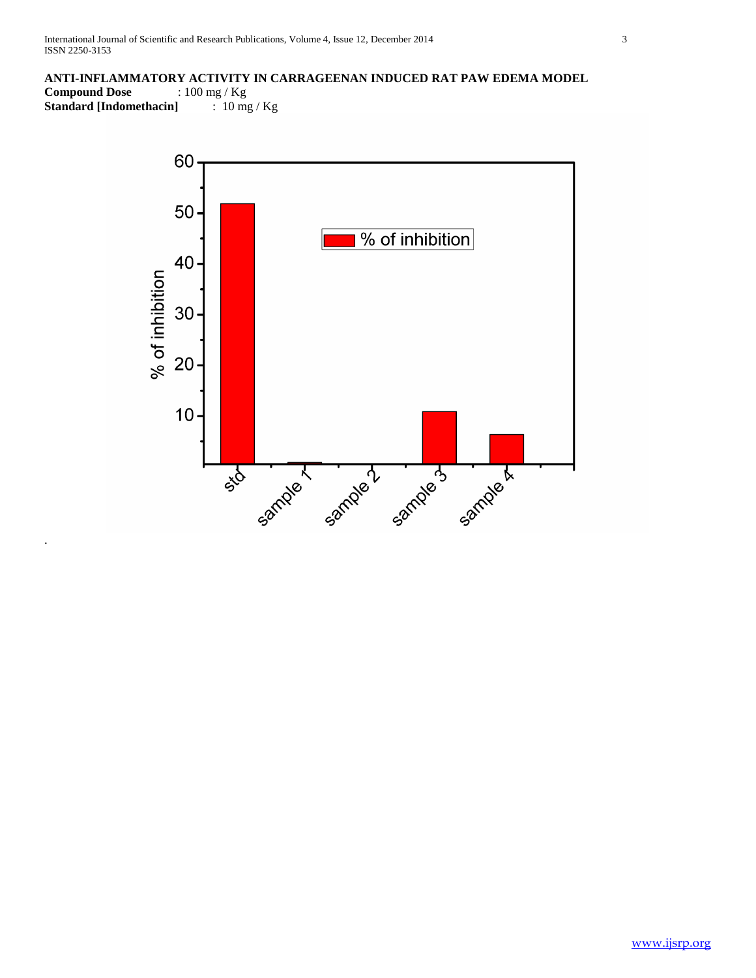# **ANTI-INFLAMMATORY ACTIVITY IN CARRAGEENAN INDUCED RAT PAW EDEMA MODEL**

**Compound Dose** : 100 mg / Kg **Standard [Indomethacin]** : 10 mg / Kg

.

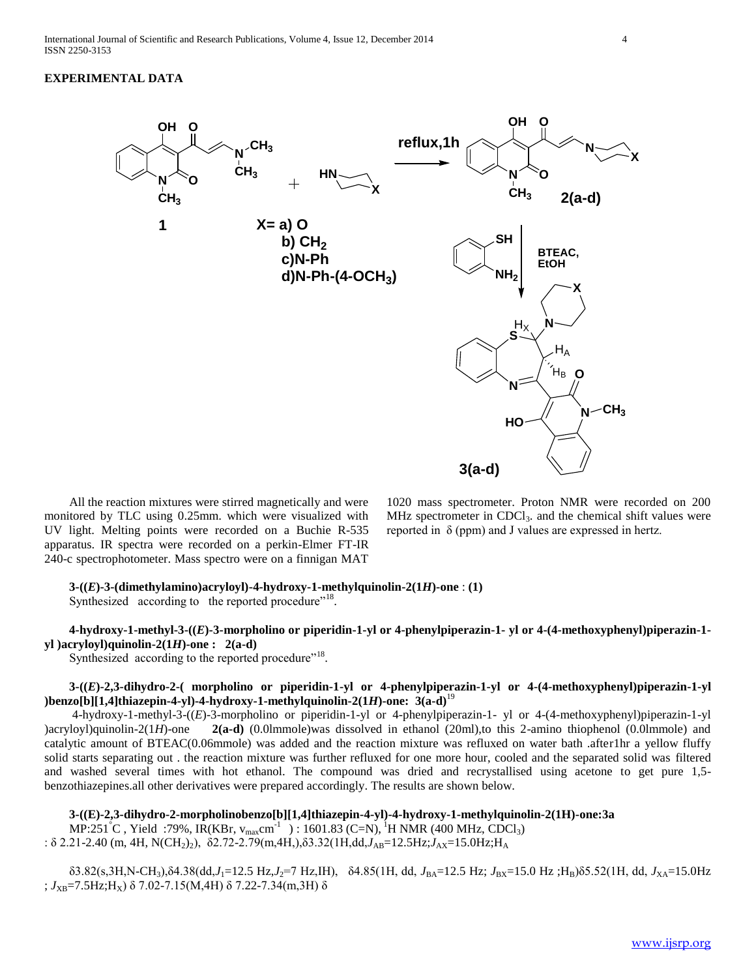### **EXPERIMENTAL DATA**



 All the reaction mixtures were stirred magnetically and were monitored by TLC using 0.25mm. which were visualized with UV light. Melting points were recorded on a Buchie R-535 apparatus. IR spectra were recorded on a perkin-Elmer FT-IR 240-c spectrophotometer. Mass spectro were on a finnigan MAT

1020 mass spectrometer. Proton NMR were recorded on 200 MHz spectrometer in  $CDCl<sub>3</sub>$ . and the chemical shift values were reported in  $\delta$  (ppm) and J values are expressed in hertz.

# **3-((***E***)-3-(dimethylamino)acryloyl)-4-hydroxy-1-methylquinolin-2(1***H***)-one** : **(1)**

Synthesized according to the reported procedure"<sup>18</sup>.

 **4-hydroxy-1-methyl-3-((***E***)-3-morpholino or piperidin-1-yl or 4-phenylpiperazin-1- yl or 4-(4-methoxyphenyl)piperazin-1 yl )acryloyl)quinolin-2(1***H***)-one : 2(a-d)**

Synthesized according to the reported procedure"<sup>18</sup>.

## **3-((***E***)-2,3-dihydro-2-( morpholino or piperidin-1-yl or 4-phenylpiperazin-1-yl or 4-(4-methoxyphenyl)piperazin-1-yl )benzo[b][1,4]thiazepin-4-yl)-4-hydroxy-1-methylquinolin-2(1***H***)-one: 3(a-d)**<sup>19</sup>

 4-hydroxy-1-methyl-3-((*E*)-3-morpholino or piperidin-1-yl or 4-phenylpiperazin-1- yl or 4-(4-methoxyphenyl)piperazin-1-yl )acryloyl)quinolin-2(1*H*)-one **2(a-d)** (0.0lmmole)was dissolved in ethanol (20ml),to this 2-amino thiophenol (0.0lmmole) and catalytic amount of BTEAC(0.06mmole) was added and the reaction mixture was refluxed on water bath .after1hr a yellow fluffy solid starts separating out . the reaction mixture was further refluxed for one more hour, cooled and the separated solid was filtered and washed several times with hot ethanol. The compound was dried and recrystallised using acetone to get pure 1,5 benzothiazepines.all other derivatives were prepared accordingly. The results are shown below.

# **3-((E)-2,3-dihydro-2-morpholinobenzo[b][1,4]thiazepin-4-yl)-4-hydroxy-1-methylquinolin-2(1H)-one:3a**

MP:251<sup>°</sup>C, Yield :79%, IR(KBr, v<sub>max</sub>cm<sup>-1</sup>): 1601.83 (C=N), <sup>1</sup>H NMR (400 MHz, CDCl<sub>3</sub>)

:  $\delta$  2.21-2.40 (m, 4H, N(CH<sub>2</sub>)<sub>2</sub>),  $\delta$ 2.72-2.79(m, 4H,) $\delta$ 3.32(1H,dd, $J_{AB}$ =12.5Hz; $J_{AX}$ =15.0Hz;H<sub>A</sub>

 δ3.82(s,3H,N-CH3),δ4.38(dd,*J*1=12.5 Hz,*J*2=7 Hz,IH), δ4.85(1H, dd, *J*BA=12.5 Hz; *J*BX=15.0 Hz ;HB)δ5.52(1H, dd, *J*XA=15.0Hz ; *J*XB=7.5Hz;HX) δ 7.02-7.15(M,4H) δ 7.22-7.34(m,3H) δ